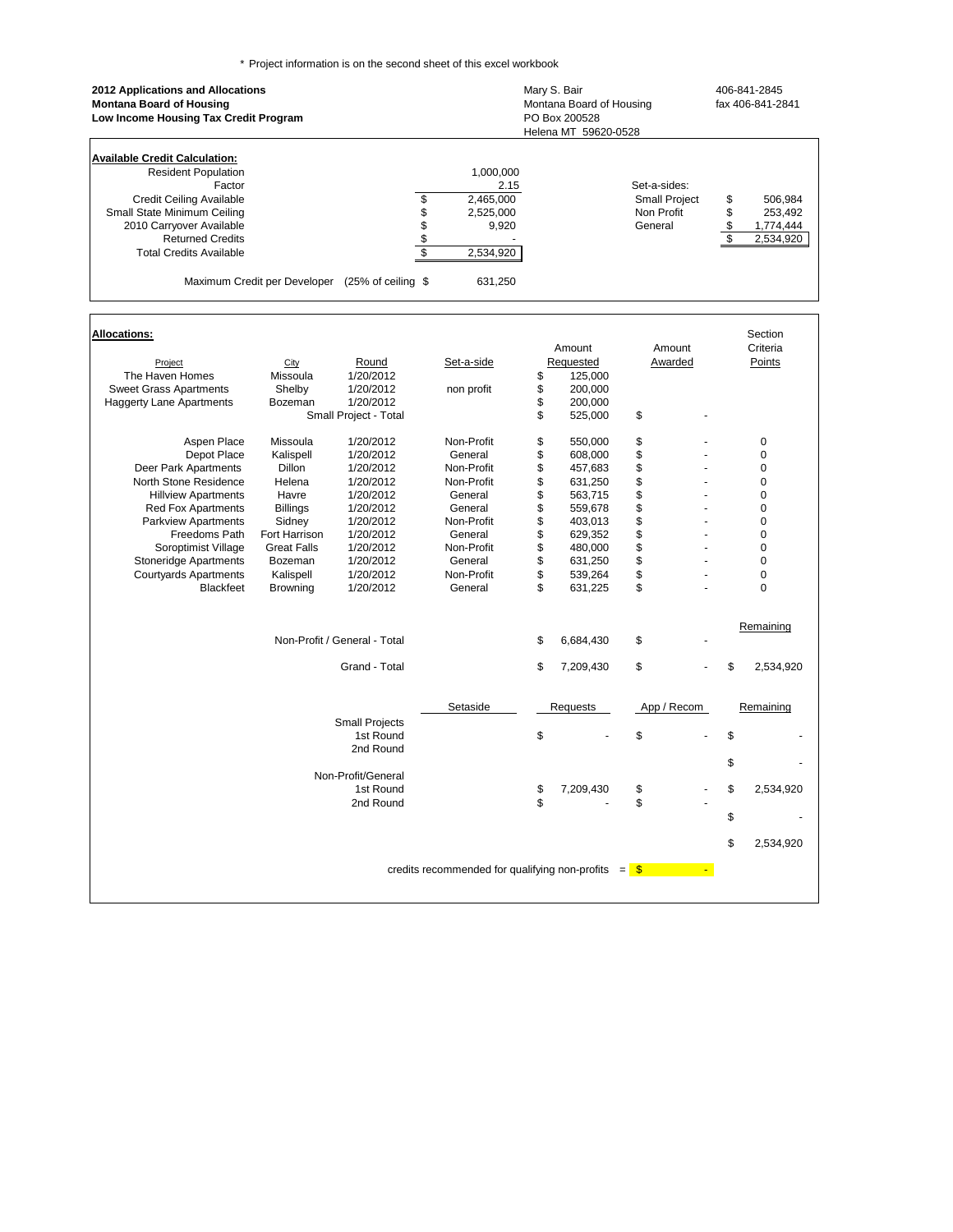\* Project information is on the second sheet of this excel workbook

|                                                                                                                                                                                                          | Set-a-sides:<br>Small Project<br>Non Profit<br>General                           | \$<br>506,984<br>\$<br>253,492<br>\$<br>1,774,444                 |
|----------------------------------------------------------------------------------------------------------------------------------------------------------------------------------------------------------|----------------------------------------------------------------------------------|-------------------------------------------------------------------|
|                                                                                                                                                                                                          |                                                                                  | $\mathsf{s}$<br>2,534,920                                         |
| Amount<br>Requested<br>\$<br>125,000<br>\$<br>200,000<br>\$<br>200,000<br>\$<br>525,000                                                                                                                  | Amount<br>Awarded<br>\$                                                          | Section<br>Criteria<br>Points                                     |
| \$<br>550,000<br>\$<br>608,000<br>\$<br>457,683<br>\$<br>631,250<br>\$<br>563,715<br>\$<br>559,678<br>\$<br>403,013<br>\$<br>629,352<br>\$<br>480,000<br>\$<br>631,250<br>\$<br>539,264<br>\$<br>631,225 | \$<br>\$<br>\$<br>\$<br>\$<br>\$<br>ä,<br>\$<br>\$<br>\$<br>÷.<br>\$<br>\$<br>\$ | 0<br>0<br>0<br>0<br>0<br>0<br>0<br>0<br>0<br>0<br>0<br>0          |
| \$<br>6,684,430                                                                                                                                                                                          | \$                                                                               | Remaining                                                         |
| \$<br>7,209,430<br>Requests<br>\$                                                                                                                                                                        | \$<br>App / Recom<br>\$                                                          | \$<br>2,534,920<br>Remaining<br>\$<br>\$                          |
| 7,209,430<br>\$                                                                                                                                                                                          |                                                                                  | 2,534,920<br>\$<br>\$<br>2,534,920<br>\$                          |
|                                                                                                                                                                                                          |                                                                                  | credits recommended for qualifying non-profits $=$ $\frac{12}{3}$ |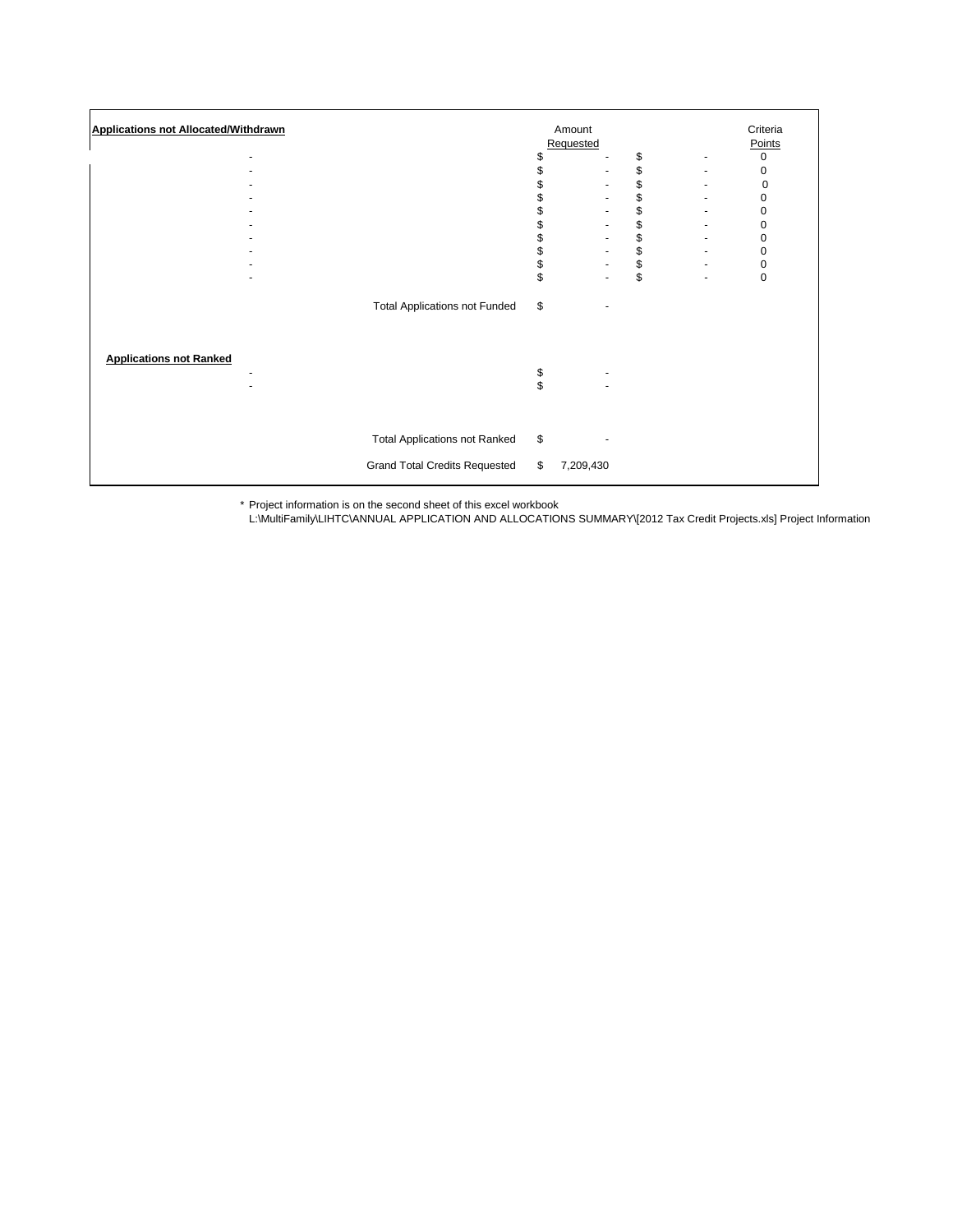| <b>Applications not Allocated/Withdrawn</b> |                                      |          | Amount                   |      | Criteria                 |                  |
|---------------------------------------------|--------------------------------------|----------|--------------------------|------|--------------------------|------------------|
|                                             |                                      |          | Requested                |      |                          | Points           |
|                                             |                                      | \$       |                          | \$   |                          | 0                |
|                                             |                                      |          |                          | \$   |                          | 0                |
|                                             |                                      |          |                          | \$   |                          | 0                |
|                                             |                                      |          |                          | \$   |                          | $\boldsymbol{0}$ |
|                                             |                                      |          |                          | \$   |                          | 0                |
|                                             |                                      |          |                          | \$   |                          | $\pmb{0}$        |
|                                             |                                      | \$       |                          | \$   |                          | 0                |
|                                             |                                      | \$       | $\overline{\phantom{a}}$ | \$\$ |                          | 0                |
|                                             |                                      | \$       | ٠                        |      | $\overline{\phantom{a}}$ | $\pmb{0}$        |
|                                             |                                      | \$       |                          |      |                          | $\mathbf 0$      |
|                                             | <b>Total Applications not Funded</b> | \$       |                          |      |                          |                  |
| <b>Applications not Ranked</b>              |                                      | \$<br>\$ |                          |      |                          |                  |
|                                             | <b>Total Applications not Ranked</b> | \$       |                          |      |                          |                  |
|                                             | <b>Grand Total Credits Requested</b> | \$       | 7,209,430                |      |                          |                  |

\* Project information is on the second sheet of this excel workbook

L:\MultiFamily\LIHTC\ANNUAL APPLICATION AND ALLOCATIONS SUMMARY\[2012 Tax Credit Projects.xls] Project Information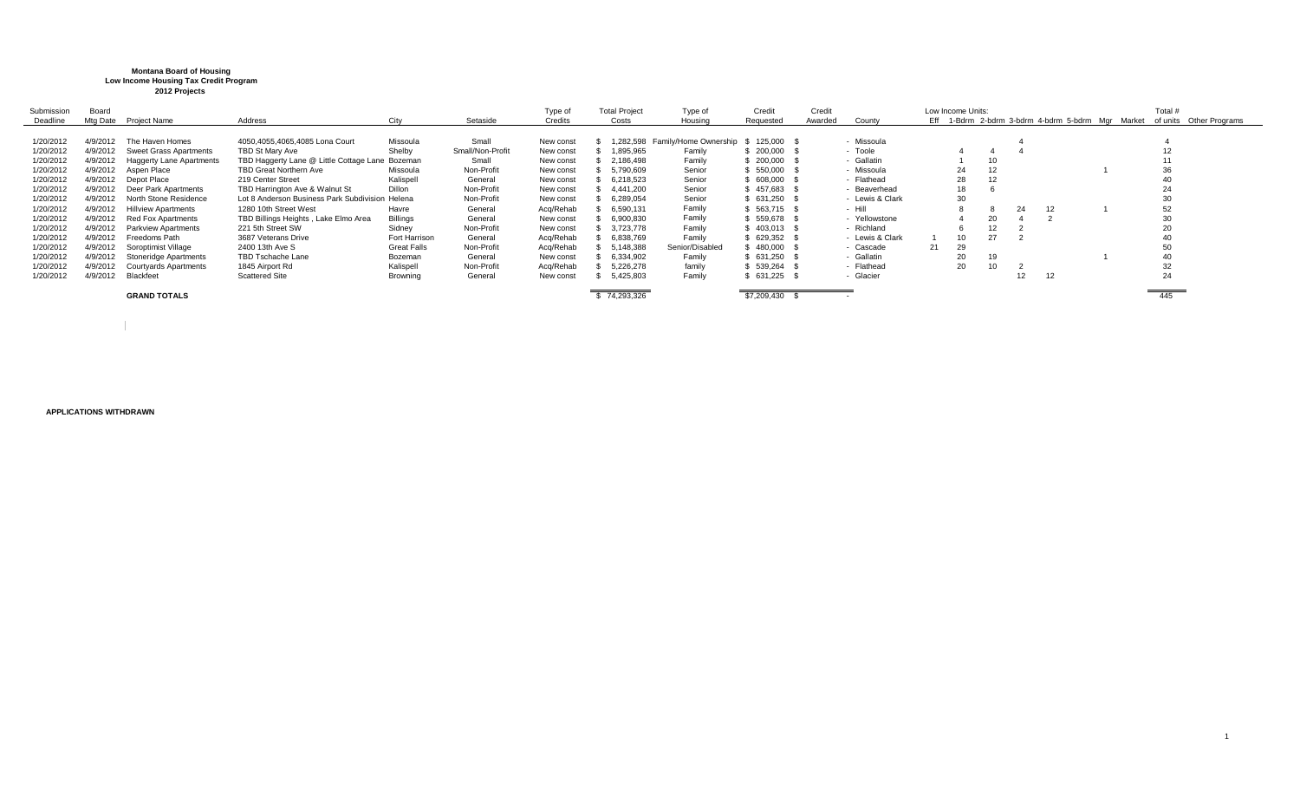## **Montana Board of Housing Low Income Housing Tax Credit Program 2012 Projects**

| Submission | Board    |                                 |                                                 |                    |                  | Type of   | <b>Total Project</b> | Type of                         | Credit        | Credit  |                 |    | Low Income Units: |    |    |    | Total #                                                                   |  |
|------------|----------|---------------------------------|-------------------------------------------------|--------------------|------------------|-----------|----------------------|---------------------------------|---------------|---------|-----------------|----|-------------------|----|----|----|---------------------------------------------------------------------------|--|
| Deadline   |          | Mtg Date Project Name           | Address                                         | City               | Setaside         | Credits   | Costs                | Housing                         | Requested     | Awarded | County          |    |                   |    |    |    | Eff 1-Bdrm 2-bdrm 3-bdrm 4-bdrm 5-bdrm Mgr Market of units Other Programs |  |
|            |          |                                 |                                                 |                    |                  |           |                      |                                 |               |         |                 |    |                   |    |    |    |                                                                           |  |
| 1/20/2012  | 4/9/2012 | The Haven Homes                 | 4050.4055.4065.4085 Lona Court                  | Missoula           | Small            | New const |                      | 1,282,598 Family/Home Ownership | 125,000 \$    |         | - Missoula      |    |                   |    |    |    |                                                                           |  |
| 1/20/2012  | 4/9/2012 | <b>Sweet Grass Apartments</b>   | TBD St Mary Ave                                 | Shelby             | Small/Non-Profit | New const | 1,895,965            | Family                          | 200,000       |         | - Toole         |    |                   |    |    |    |                                                                           |  |
| 1/20/2012  | 4/9/2012 | <b>Haggerty Lane Apartments</b> | TBD Haggerty Lane @ Little Cottage Lane Bozeman |                    | Small            | New const | 2,186,498            | Family                          | 200,000       |         | - Gallatin      |    |                   | 10 |    |    |                                                                           |  |
| 1/20/2012  | 4/9/2012 | Aspen Place                     | <b>TBD Great Northern Ave</b>                   | Missoula           | Non-Profit       | New const | 5,790,609            | Senior                          | 550,000       |         | - Missoula      |    | 24                | 12 |    |    | 36                                                                        |  |
| 1/20/2012  | 4/9/2012 | Depot Place                     | 219 Center Street                               | Kalispell          | General          | New const | 6.218.523            | Senior                          | 608,000       |         | - Flathead      |    | 28                | 12 |    |    |                                                                           |  |
| 1/20/2012  | 4/9/2012 | Deer Park Apartments            | TBD Harrington Ave & Walnut St                  | Dillon             | Non-Profit       | New const | 4.441.200            | Senior                          | 457,683       |         | - Beaverhead    |    | 18                |    |    |    | 24                                                                        |  |
| 1/20/2012  | 4/9/2012 | North Stone Residence           | Lot 8 Anderson Business Park Subdivision Helena |                    | Non-Profit       | New const | 6,289,054            | Senior                          | 631,250       |         | - Lewis & Clark |    | 30                |    |    |    |                                                                           |  |
| 1/20/2012  | 4/9/2012 | <b>Hillview Apartments</b>      | 1280 10th Street West                           | Havre              | General          | Acq/Rehab | 6,590,131            | Family                          | \$563,715 \$  |         | - Hill          |    |                   |    | 24 | 12 | 52                                                                        |  |
| 1/20/2012  | 4/9/2012 | <b>Red Fox Apartments</b>       | TBD Billings Heights, Lake Elmo Area            | Billinas           | General          | New const | 6,900,830            | Family                          | 559,678       |         | - Yellowstone   |    |                   | 20 |    |    | 30                                                                        |  |
| 1/20/2012  | 4/9/2012 | <b>Parkview Apartments</b>      | 221 5th Street SW                               | Sidney             | Non-Profit       | New const | 3,723,778            | Family                          | 403,013       |         | - Richland      |    |                   |    |    |    |                                                                           |  |
| 1/20/2012  | 4/9/2012 | Freedoms Path                   | 3687 Veterans Drive                             | Fort Harrison      | General          | Acq/Rehab | 6,838,769            | Family                          | \$ 629,352 \$ |         | - Lewis & Clark |    | 10                |    |    |    |                                                                           |  |
| 1/20/2012  | 4/9/2012 | Soroptimist Village             | 2400 13th Ave S                                 | <b>Great Falls</b> | Non-Profit       | Acq/Rehab | 5,148,388            | Senior/Disabled                 | 480,000       |         | - Cascade       | 21 | 29                |    |    |    | 50                                                                        |  |
| 1/20/2012  | 4/9/2012 | Stoneridge Apartments           | TBD Tschache Lane                               | Bozeman            | General          | New const | 6,334,902            | Family                          | 631.250       |         | - Gallatin      |    | 20                | 19 |    |    | $\Delta \Gamma$                                                           |  |
| 1/20/2012  | 4/9/2012 | <b>Courtyards Apartments</b>    | 1845 Airport Rd                                 | Kalispell          | Non-Profit       | Acq/Rehab | 5,226,278            | family                          | 539,264       |         | - Flathead      |    | 20                | 10 |    |    | 32                                                                        |  |
| 1/20/2012  | 4/9/2012 | Blackfeet                       | <b>Scattered Site</b>                           | Browning           | General          | New const | 5,425,803            | Family                          | 631,225       |         | - Glacier       |    |                   |    | L  | 12 | 24                                                                        |  |
|            |          |                                 |                                                 |                    |                  |           |                      |                                 |               |         |                 |    |                   |    |    |    |                                                                           |  |
|            |          | <b>GRAND TOTALS</b>             |                                                 |                    |                  |           | \$74,293,326         |                                 | \$7,209,430   |         |                 |    |                   |    |    |    | 445                                                                       |  |

**APPLICATIONS WITHDRAWN**

 $\overline{1}$